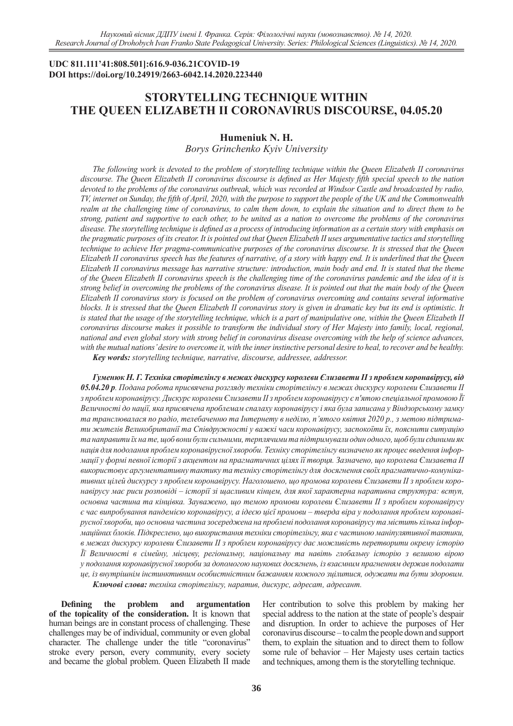## **UDC 811.111'41:808.501]:616.9-036.21COVID-19 DOI https://doi.org/10.24919/2663-6042.14.2020.223440**

# **STORYTELLING TECHNIQUE WITHIN THE QUEEN ELIZABETH II CORONAVIRUS DISCOURSE, 04.05.20**

# **Humeniuk N. H.**

## *Borys Grinchenko Kyiv University*

*The following work is devoted to the problem of storytelling technique within the Queen Elizabeth II coronavirus discourse. The Queen Elizabeth II coronavirus discourse is defined as Her Majesty fifth special speech to the nation devoted to the problems of the coronavirus outbreak, which was recorded at Windsor Castle and broadcasted by radio, TV, internet on Sunday, the fifth of April, 2020, with the purpose to support the people of the UK and the Commonwealth realm at the challenging time of coronavirus, to calm them down, to explain the situation and to direct them to be strong, patient and supportive to each other, to be united as a nation to overcome the problems of the coronavirus disease. The storytelling technique is defined as a process of introducing information as a certain story with emphasis on the pragmatic purposes of its creator. It is pointed out that Queen Elizabeth II uses argumentative tactics and storytelling technique to achieve Her pragma-communicative purposes of the coronavirus discourse. It is stressed that the Queen Elizabeth II coronavirus speech has the features of narrative, of a story with happy end. It is underlined that the Queen Elizabeth II coronavirus message has narrative structure: introduction, main body and end. It is stated that the theme of the Queen Elizabeth II coronavirus speech is the challenging time of the coronavirus pandemic and the idea of it is strong belief in overcoming the problems of the coronavirus disease. It is pointed out that the main body of the Queen Elizabeth II coronavirus story is focused on the problem of coronavirus overcoming and contains several informative*  blocks. It is stressed that the Queen Elizabeth II coronavirus story is given in dramatic key but its end is optimistic. It *is stated that the usage of the storytelling technique, which is a part of manipulative one, within the Queen Elizabeth II coronavirus discourse makes it possible to transform the individual story of Her Majesty into family, local, regional, national and even global story with strong belief in coronavirus disease overcoming with the help of science advances, with the mutual nations' desire to overcome it, with the inner instinctive personal desire to heal, to recover and be healthy.*

*Key words: storytelling technique, narrative, discourse, addressee, addressor.*

*Гуменюк Н. Г. Техніка сторітелінгу в межах дискурсу королеви Єлизавети ІІ з проблем коронавірусу, від 05.04.20 р. Подана робота присвячена розгляду техніки сторітелінгу в межах дискурсу королеви Єлизавети ІІ з проблем коронавірусу. Дискурс королеви Єлизавети ІІ з проблем коронавірусу є п'ятою спеціальної промовою Її Величності до нації, яка присвячена проблемам спалаху коронавірусу і яка була записана у Віндзорському замку та транслювалася по радіо, телебаченню та Інтернету в неділю, п'ятого квітня 2020 р., з метою підтримати жителів Великобританії та Співдружності у важкі часи коронавірусу, заспокоїти їх, пояснити ситуацію та направити їх на те, щоб вони були сильними, терплячими та підтримували один одного, щоб були єдиними як нація для подолання проблем коронавірусної хвороби. Техніку сторітелінгу визначено як процес введення інформації у формі певної історії з акцентом на прагматичних цілях її творця. Зазначено, що королева Єлизавета II використовує аргументативну тактику та техніку сторітелінгу для досягнення своїх прагматично-комунікативних цілей дискурсу з проблем коронавірусу. Наголошено, що промова королеви Єлизавети II з проблем коронавірусу має риси розповіді – історії зі щасливим кінцем, для якої характерна наративна структура: вступ, основна частина та кінцівка. Зауважено, що темою промови королеви Єлизавети II з проблем коронавірусу є час випробування пандемією коронавірусу, а ідеєю цієї промови – тверда віра у подолання проблем коронавірусної хвороби, що основна частина зосереджена на проблемі подолання коронавірусу та містить кілька інформаційних блоків. Підкреслено, що використання техніки сторітелінгу, яка є частиною маніпулятивної тактики, в межах дискурсу королеви Єлизавети II з проблем коронавірусу дає можливість перетворити окрему історію Її Величності в сімейну, місцеву, регіональну, національну та навіть глобальну історію з великою вірою у подолання коронавірусної хвороби за допомогою наукових досягнень, із взаємним прагненням держав подолати це, із внутрішнім інстинктивним особистністним бажанням кожного зцілитися, одужати та бути здоровим. Ключові слова: техніка сторітелінгу, наратив, дискурс, адресат, адресант.*

**Defining the problem and argumentation of the topicality of the consideration.** It is known that human beings are in constant process of challenging. These challenges may be of individual, community or even global character. The challenge under the title "coronavirus" stroke every person, every community, every society and became the global problem. Queen Elizabeth II made

Her contribution to solve this problem by making her special address to the nation at the state of people's despair and disruption. In order to achieve the purposes of Her coronavirus discourse – to calm the people down and support them, to explain the situation and to direct them to follow some rule of behavior – Her Majesty uses certain tactics and techniques, among them is the storytelling technique.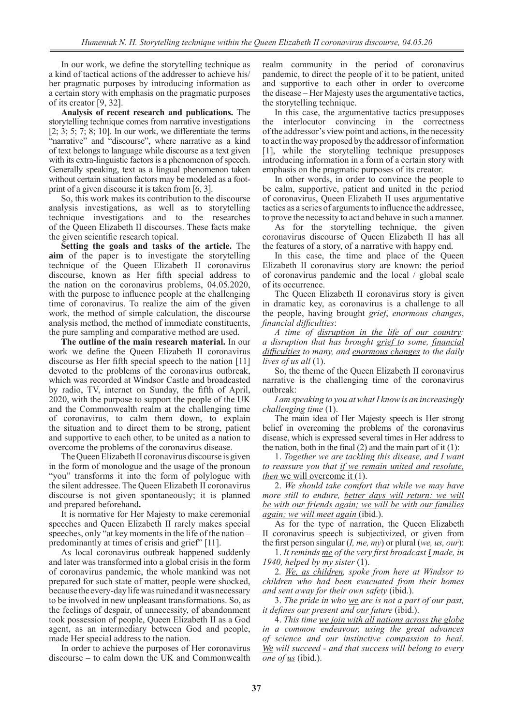In our work, we define the storytelling technique as a kind of tactical actions of the addresser to achieve his/ her pragmatic purposes by introducing information as a certain story with emphasis on the pragmatic purposes of its creator [9, 32].

**Analysis of recent research and publications.** The storytelling technique comes from narrative investigations [2; 3; 5; 7; 8; 10]. In our work, we differentiate the terms "narrative" and "discourse", where narrative as a kind of text belongs to language while discourse as a text given with its extra-linguistic factors is a phenomenon of speech. Generally speaking, text as a lingual phenomenon taken without certain situation factors may be modeled as a footprint of a given discourse it is taken from [6, 3].

So, this work makes its contribution to the discourse analysis investigations, as well as to storytelling technique investigations and to the researches of the Queen Elizabeth II discourses. These facts make the given scientific research topical.

**Setting the goals and tasks of the article.** The **aim** of the paper is to investigate the storytelling technique of the Queen Elizabeth II coronavirus discourse, known as Her fifth special address to the nation on the coronavirus problems, 04.05.2020, with the purpose to influence people at the challenging time of coronavirus. To realize the aim of the given work, the method of simple calculation, the discourse analysis method, the method of immediate constituents, the pure sampling and comparative method are used.

**The outline of the main research material.** In our work we define the Queen Elizabeth II coronavirus discourse as Her fifth special speech to the nation [11] devoted to the problems of the coronavirus outbreak, which was recorded at Windsor Castle and broadcasted by radio, TV, internet on Sunday, the fifth of April, 2020, with the purpose to support the people of the UK and the Commonwealth realm at the challenging time of coronavirus, to calm them down, to explain the situation and to direct them to be strong, patient and supportive to each other, to be united as a nation to overcome the problems of the coronavirus disease.

The Queen Elizabeth II coronavirus discourse is given in the form of monologue and the usage of the pronoun "you" transforms it into the form of polylogue with the silent addressee. The Queen Elizabeth II coronavirus discourse is not given spontaneously; it is planned and prepared beforehand**.**

It is normative for Her Majesty to make ceremonial speeches and Queen Elizabeth II rarely makes special speeches, only "at key moments in the life of the nation – predominantly at times of crisis and grief" [11].

As local coronavirus outbreak happened suddenly and later was transformed into a global crisis in the form of coronavirus pandemic, the whole mankind was not prepared for such state of matter, people were shocked, because the every-day life was ruined and it was necessary to be involved in new unpleasant transformations. So, as the feelings of despair, of unnecessity, of abandonment took possession of people, Queen Elizabeth II as a God agent, as an intermediary between God and people, made Her special address to the nation.

In order to achieve the purposes of Her coronavirus discourse – to calm down the UK and Commonwealth

realm community in the period of coronavirus pandemic, to direct the people of it to be patient, united and supportive to each other in order to overcome the disease – Her Majesty uses the argumentative tactics, the storytelling technique.

In this case, the argumentative tactics presupposes the interlocutor convincing in the correctness of the addressor's view point and actions, in the necessity to act in the way proposed by the addressor of information [1], while the storytelling technique presupposes introducing information in a form of a certain story with emphasis on the pragmatic purposes of its creator.

In other words, in order to convince the people to be calm, supportive, patient and united in the period of coronavirus, Queen Elizabeth II uses argumentative tactics as a series of arguments to influence the addressee, to prove the necessity to act and behave in such a manner.

As for the storytelling technique, the given coronavirus discourse of Queen Elizabeth II has all the features of a story, of a narrative with happy end.

In this case, the time and place of the Queen Elizabeth II coronavirus story are known: the period of coronavirus pandemic and the local / global scale of its occurrence.

The Queen Elizabeth II coronavirus story is given in dramatic key, as coronavirus is a challenge to all the people, having brought *grief*, *enormous changes*, *financial difficulties*:

*A time of disruption in the life of our country: a disruption that has brought grief to some, financial difficulties to many, and enormous changes to the daily lives of us all* (1).

So, the theme of the Queen Elizabeth II coronavirus narrative is the challenging time of the coronavirus outbreak:

*I am speaking to you at what I know is an increasingly challenging time* (1).

The main idea of Her Majesty speech is Her strong belief in overcoming the problems of the coronavirus disease, which is expressed several times in Her address to the nation, both in the final  $(2)$  and the main part of it  $(1)$ :

1. *Together we are tackling this disease, and I want to reassure you that if we remain united and resolute, then* we will overcome it (1).

2. *We should take comfort that while we may have more still to endure, better days will return: we will be with our friends again; we will be with our families again; we will meet again* (ibid.).

As for the type of narration, the Queen Elizabeth II coronavirus speech is subjectivized, or given from the first person singular (*I, me, my*) or plural (*we, us, our*):

1. *It reminds me of the very first broadcast I made, in 1940, helped by my sister* (1).

2*. We, as children, spoke from here at Windsor to children who had been evacuated from their homes and sent away for their own safety* (ibid.).

3. *The pride in who we are is not a part of our past, it defines our present and our future* (ibid.).

4. *This time we join with all nations across the globe in a common endeavour, using the great advances of science and our instinctive compassion to heal. We will succeed - and that success will belong to every one of us* (ibid.).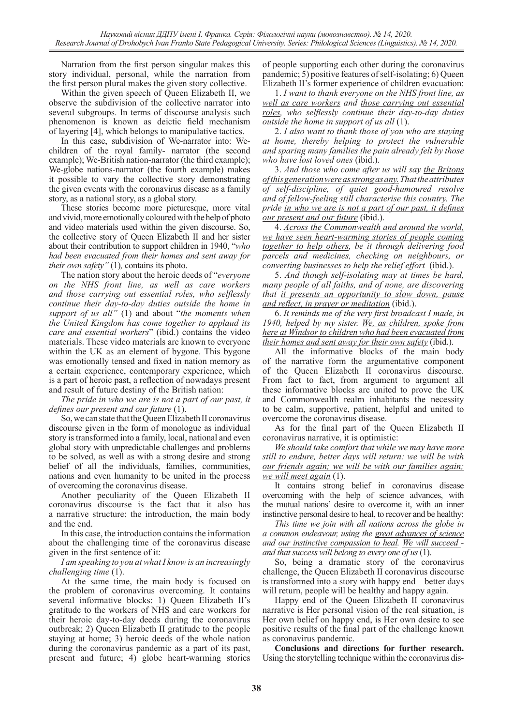Narration from the first person singular makes this story individual, personal, while the narration from the first person plural makes the given story collective.

Within the given speech of Queen Elizabeth II, we observe the subdivision of the collective narrator into several subgroups. In terms of discourse analysis such phenomenon is known as deictic field mechanism of layering [4], which belongs to manipulative tactics.

In this case, subdivision of We-narrator into: Wechildren of the royal family- narrator (the second example); We-British nation-narrator (the third example); We-globe nations-narrator (the fourth example) makes it possible to vary the collective story demonstrating the given events with the coronavirus disease as a family story, as a national story, as a global story.

These stories become more picturesque, more vital and vivid, more emotionally coloured with the help of photo and video materials used within the given discourse. So, the collective story of Queen Elizabeth II and her sister about their contribution to support children in 1940, "*who had been evacuated from their homes and sent away for their own safety"* (1)*,* contains its photo.

The nation story about the heroic deeds of "*everyone on the NHS front line, as well as care workers and those carrying out essential roles, who selflessly continue their day-to-day duties outside the home in support of us all"* (1) and about "*the moments when the United Kingdom has come together to applaud its care and essential workers*" (ibid.) contains the video materials. These video materials are known to everyone within the UK as an element of bygone. This bygone was emotionally tensed and fixed in nation memory as a certain experience, contemporary experience, which is a part of heroic past, a reflection of nowadays present and result of future destiny of the British nation:

*The pride in who we are is not a part of our past, it defines our present and our future* (1).

So, we can state that the Queen Elizabeth II coronavirus discourse given in the form of monologue as individual story is transformed into a family, local, national and even global story with unpredictable challenges and problems to be solved, as well as with a strong desire and strong belief of all the individuals, families, communities, nations and even humanity to be united in the process of overcoming the coronavirus disease.

Another peculiarity of the Queen Elizabeth II coronavirus discourse is the fact that it also has a narrative structure: the introduction, the main body and the end.

In this case, the introduction contains the information about the challenging time of the coronavirus disease given in the first sentence of it:

*I am speaking to you at what I know is an increasingly challenging time* (1).

At the same time, the main body is focused on the problem of coronavirus overcoming. It contains several informative blocks: 1) Queen Elizabeth II's gratitude to the workers of NHS and care workers for their heroic day-to-day deeds during the coronavirus outbreak; 2) Queen Elizabeth II gratitude to the people staying at home; 3) heroic deeds of the whole nation during the coronavirus pandemic as a part of its past, present and future; 4) globe heart-warming stories of people supporting each other during the coronavirus pandemic; 5) positive features of self-isolating; 6) Queen Elizabeth II's former experience of children evacuation:

1. *I want to thank everyone on the NHS front line, as well as care workers and those carrying out essential roles, who selflessly continue their day-to-day duties outside the home in support of us all* (1).

2. *I also want to thank those of you who are staying at home, thereby helping to protect the vulnerable and sparing many families the pain already felt by those who have lost loved ones* (ibid.).

3. *And those who come after us will say the Britons of this generation were as strong as any. That the attributes of self-discipline, of quiet good-humoured resolve and of fellow-feeling still characterise this country. The pride in who we are is not a part of our past, it defines our present and our future* (ibid.).

4. *Across the Commonwealth and around the world, we have seen heart-warming stories of people coming together to help others, be it through delivering food parcels and medicines, checking on neighbours, or converting businesses to help the relief effort* (ibid.).

5. *And though self-isolating may at times be hard, many people of all faiths, and of none, are discovering that it presents an opportunity to slow down, pause and reflect, in prayer or meditation* (ibid.).

6. *It reminds me of the very first broadcast I made, in 1940, helped by my sister. We, as children, spoke from here at Windsor to children who had been evacuated from their homes and sent away for their own safety* (ibid.).

All the informative blocks of the main body of the narrative form the argumentative component of the Queen Elizabeth II coronavirus discourse. From fact to fact, from argument to argument all these informative blocks are united to prove the UK and Commonwealth realm inhabitants the necessity to be calm, supportive, patient, helpful and united to overcome the coronavirus disease.

As for the final part of the Queen Elizabeth II coronavirus narrative, it is optimistic:

*We should take comfort that while we may have more still to endure, better days will return: we will be with our friends again; we will be with our families again; we will meet again* (1).

It contains strong belief in coronavirus disease overcoming with the help of science advances, with the mutual nations' desire to overcome it, with an inner instinctive personal desire to heal, to recover and be healthy:

*This time we join with all nations across the globe in a common endeavour, using the great advances of science and our instinctive compassion to heal. We will succeed and that success will belong to every one of us* (1).

So, being a dramatic story of the coronavirus challenge, the Queen Elizabeth II coronavirus discourse is transformed into a story with happy end – better days will return, people will be healthy and happy again.

Happy end of the Queen Elizabeth II coronavirus narrative is Her personal vision of the real situation, is Her own belief on happy end, is Her own desire to see positive results of the final part of the challenge known as coronavirus pandemic.

**Conclusions and directions for further research.**  Using the storytelling technique within the coronavirus dis-